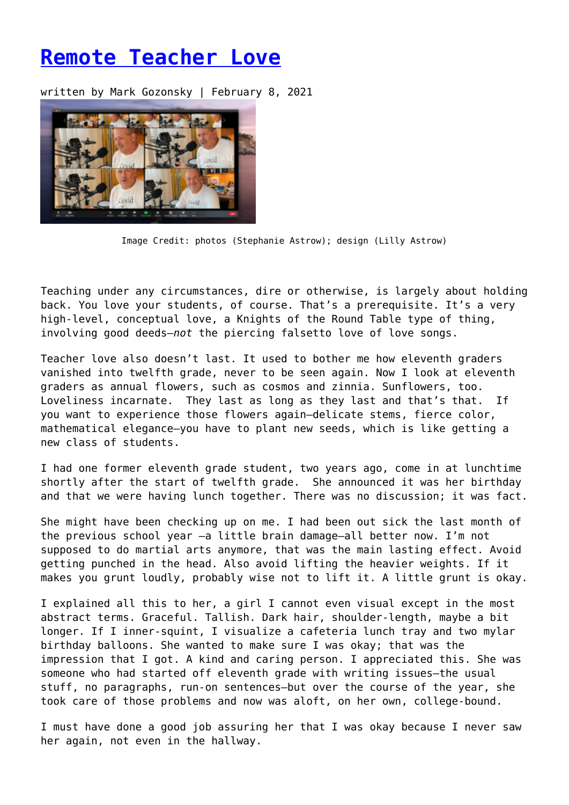## **[Remote Teacher Love](https://entropymag.org/remote-teacher-love/)**

written by Mark Gozonsky | February 8, 2021



Image Credit: photos (Stephanie Astrow); design (Lilly Astrow)

Teaching under any circumstances, dire or otherwise, is largely about holding back. You love your students, of course. That's a prerequisite. It's a very high-level, conceptual love, a Knights of the Round Table type of thing, involving good deeds—*not* the piercing falsetto love of love songs.

Teacher love also doesn't last. It used to bother me how eleventh graders vanished into twelfth grade, never to be seen again. Now I look at eleventh graders as annual flowers, such as cosmos and zinnia. Sunflowers, too. Loveliness incarnate. They last as long as they last and that's that. If you want to experience those flowers again—delicate stems, fierce color, mathematical elegance—you have to plant new seeds, which is like getting a new class of students.

I had one former eleventh grade student, two years ago, come in at lunchtime shortly after the start of twelfth grade. She announced it was her birthday and that we were having lunch together. There was no discussion; it was fact.

She might have been checking up on me. I had been out sick the last month of the previous school year —a little brain damage—all better now. I'm not supposed to do martial arts anymore, that was the main lasting effect. Avoid getting punched in the head. Also avoid lifting the heavier weights. If it makes you grunt loudly, probably wise not to lift it. A little grunt is okay.

I explained all this to her, a girl I cannot even visual except in the most abstract terms. Graceful. Tallish. Dark hair, shoulder-length, maybe a bit longer. If I inner-squint, I visualize a cafeteria lunch tray and two mylar birthday balloons. She wanted to make sure I was okay; that was the impression that I got. A kind and caring person. I appreciated this. She was someone who had started off eleventh grade with writing issues—the usual stuff, no paragraphs, run-on sentences—but over the course of the year, she took care of those problems and now was aloft, on her own, college-bound.

I must have done a good job assuring her that I was okay because I never saw her again, not even in the hallway.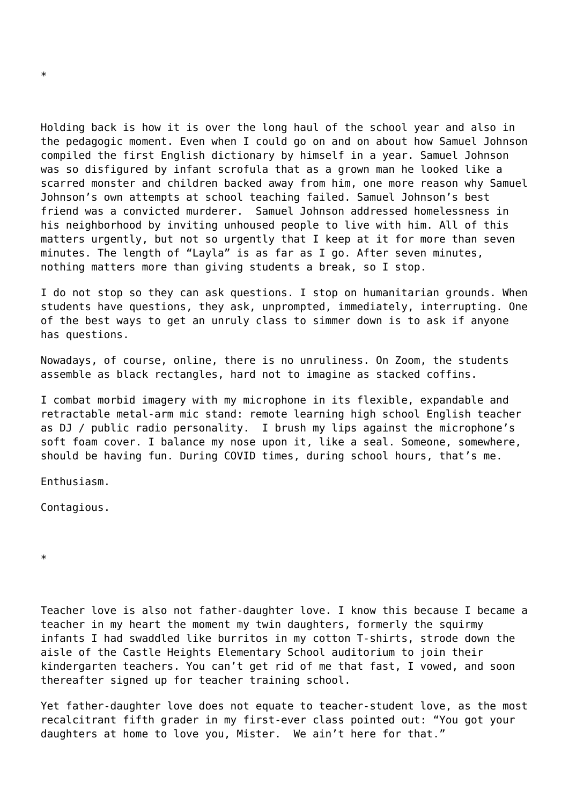Holding back is how it is over the long haul of the school year and also in the pedagogic moment. Even when I could go on and on about how Samuel Johnson compiled the first English dictionary by himself in a year. Samuel Johnson was so disfigured by infant scrofula that as a grown man he looked like a scarred monster and children backed away from him, one more reason why Samuel Johnson's own attempts at school teaching failed. Samuel Johnson's best friend was a convicted murderer. Samuel Johnson addressed homelessness in his neighborhood by inviting unhoused people to live with him. All of this matters urgently, but not so urgently that I keep at it for more than seven minutes. The length of "Layla" is as far as I go. After seven minutes, nothing matters more than giving students a break, so I stop.

I do not stop so they can ask questions. I stop on humanitarian grounds. When students have questions, they ask, unprompted, immediately, interrupting. One of the best ways to get an unruly class to simmer down is to ask if anyone has questions.

Nowadays, of course, online, there is no unruliness. On Zoom, the students assemble as black rectangles, hard not to imagine as stacked coffins.

I combat morbid imagery with my microphone in its flexible, expandable and retractable metal-arm mic stand: remote learning high school English teacher as DJ / public radio personality. I brush my lips against the microphone's soft foam cover. I balance my nose upon it, like a seal. Someone, somewhere, should be having fun. During COVID times, during school hours, that's me.

Enthusiasm.

Contagious.

\*

Teacher love is also not father-daughter love. I know this because I became a teacher in my heart the moment my twin daughters, formerly the squirmy infants I had swaddled like burritos in my cotton T-shirts, strode down the aisle of the Castle Heights Elementary School auditorium to join their kindergarten teachers. You can't get rid of me that fast, I vowed, and soon thereafter signed up for teacher training school.

Yet father-daughter love does not equate to teacher-student love, as the most recalcitrant fifth grader in my first-ever class pointed out: "You got your daughters at home to love you, Mister. We ain't here for that."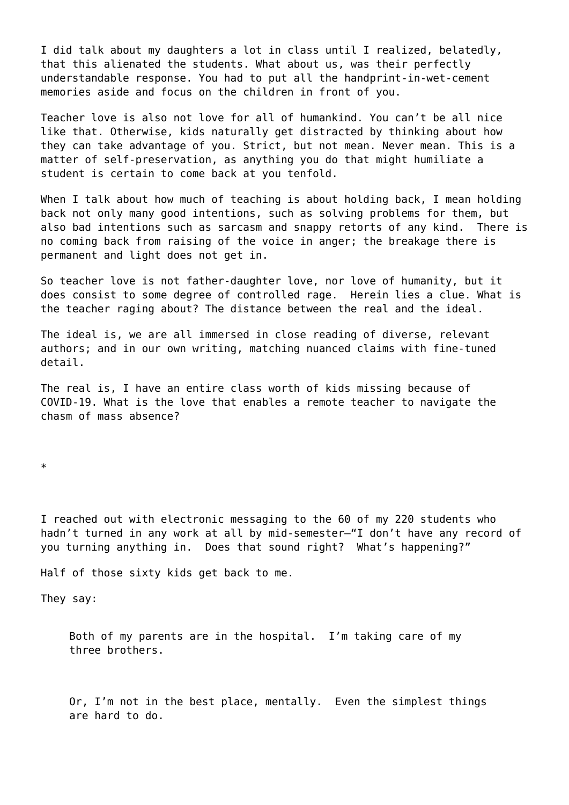I did talk about my daughters a lot in class until I realized, belatedly, that this alienated the students. What about us, was their perfectly understandable response. You had to put all the handprint-in-wet-cement memories aside and focus on the children in front of you.

Teacher love is also not love for all of humankind. You can't be all nice like that. Otherwise, kids naturally get distracted by thinking about how they can take advantage of you. Strict, but not mean. Never mean. This is a matter of self-preservation, as anything you do that might humiliate a student is certain to come back at you tenfold.

When I talk about how much of teaching is about holding back, I mean holding back not only many good intentions, such as solving problems for them, but also bad intentions such as sarcasm and snappy retorts of any kind. There is no coming back from raising of the voice in anger; the breakage there is permanent and light does not get in.

So teacher love is not father-daughter love, nor love of humanity, but it does consist to some degree of controlled rage. Herein lies a clue. What is the teacher raging about? The distance between the real and the ideal.

The ideal is, we are all immersed in close reading of diverse, relevant authors; and in our own writing, matching nuanced claims with fine-tuned detail.

The real is, I have an entire class worth of kids missing because of COVID-19. What is the love that enables a remote teacher to navigate the chasm of mass absence?

\*

I reached out with electronic messaging to the 60 of my 220 students who hadn't turned in any work at all by mid-semester—"I don't have any record of you turning anything in. Does that sound right? What's happening?"

Half of those sixty kids get back to me.

They say:

Both of my parents are in the hospital. I'm taking care of my three brothers.

Or, I'm not in the best place, mentally. Even the simplest things are hard to do.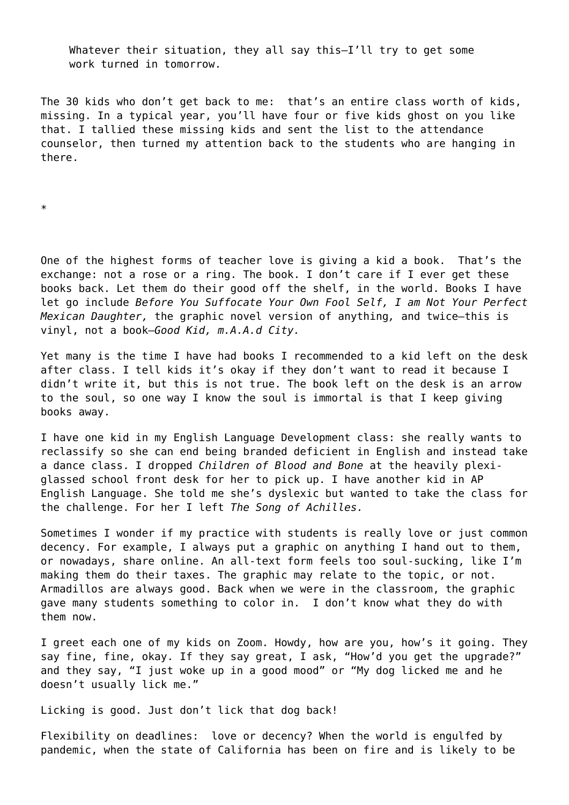Whatever their situation, they all say this—I'll try to get some work turned in tomorrow.

The 30 kids who don't get back to me: that's an entire class worth of kids, missing. In a typical year, you'll have four or five kids ghost on you like that. I tallied these missing kids and sent the list to the attendance counselor, then turned my attention back to the students who are hanging in there.

\*

One of the highest forms of teacher love is giving a kid a book. That's the exchange: not a rose or a ring. The book. I don't care if I ever get these books back. Let them do their good off the shelf, in the world. Books I have let go include *Before You Suffocate Your Own Fool Self, I am Not Your Perfect Mexican Daughter,* the graphic novel version of anything*,* and twice—this is vinyl, not a book—*Good Kid, m.A.A.d City.* 

Yet many is the time I have had books I recommended to a kid left on the desk after class. I tell kids it's okay if they don't want to read it because I didn't write it, but this is not true. The book left on the desk is an arrow to the soul, so one way I know the soul is immortal is that I keep giving books away.

I have one kid in my English Language Development class: she really wants to reclassify so she can end being branded deficient in English and instead take a dance class. I dropped *Children of Blood and Bone* at the heavily plexiglassed school front desk for her to pick up. I have another kid in AP English Language. She told me she's dyslexic but wanted to take the class for the challenge. For her I left *The Song of Achilles.* 

Sometimes I wonder if my practice with students is really love or just common decency. For example, I always put a graphic on anything I hand out to them, or nowadays, share online. An all-text form feels too soul-sucking, like I'm making them do their taxes. The graphic may relate to the topic, or not. Armadillos are always good. Back when we were in the classroom, the graphic gave many students something to color in. I don't know what they do with them now.

I greet each one of my kids on Zoom. Howdy, how are you, how's it going. They say fine, fine, okay. If they say great, I ask, "How'd you get the upgrade?" and they say, "I just woke up in a good mood" or "My dog licked me and he doesn't usually lick me."

Licking is good. Just don't lick that dog back!

Flexibility on deadlines: love or decency? When the world is engulfed by pandemic, when the state of California has been on fire and is likely to be